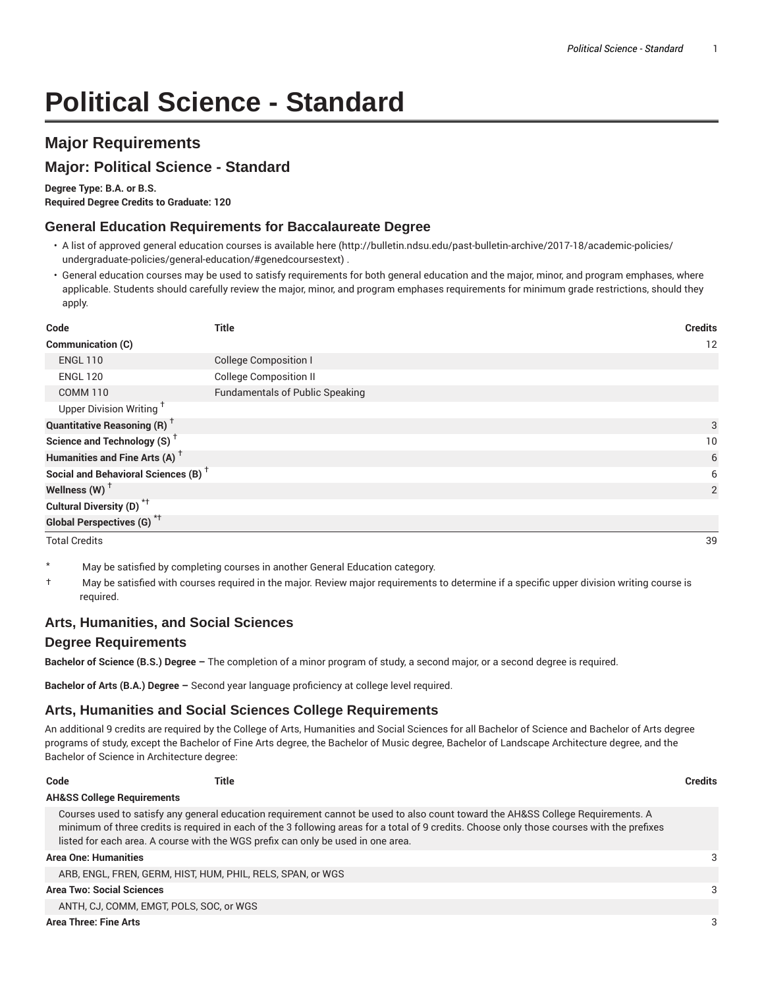# **Political Science - Standard**

# **Major Requirements**

# **Major: Political Science - Standard**

**Degree Type: B.A. or B.S.**

**Required Degree Credits to Graduate: 120**

### **General Education Requirements for Baccalaureate Degree**

- A list of approved general education courses is available here (http://bulletin.ndsu.edu/past-bulletin-archive/2017-18/academic-policies/ undergraduate-policies/general-education/#genedcoursestext) .
- General education courses may be used to satisfy requirements for both general education and the major, minor, and program emphases, where applicable. Students should carefully review the major, minor, and program emphases requirements for minimum grade restrictions, should they apply.

| Code                                            | <b>Title</b>                           | <b>Credits</b> |
|-------------------------------------------------|----------------------------------------|----------------|
| Communication (C)                               |                                        | 12             |
| <b>ENGL 110</b>                                 | <b>College Composition I</b>           |                |
| <b>ENGL 120</b>                                 | <b>College Composition II</b>          |                |
| <b>COMM 110</b>                                 | <b>Fundamentals of Public Speaking</b> |                |
| Upper Division Writing <sup>+</sup>             |                                        |                |
| <b>Quantitative Reasoning (R)</b> <sup>†</sup>  |                                        | 3              |
| Science and Technology (S) <sup>+</sup>         |                                        | 10             |
| Humanities and Fine Arts (A) <sup>+</sup>       |                                        | 6              |
| Social and Behavioral Sciences (B) <sup>+</sup> |                                        | 6              |
| Wellness $(W)$ <sup>+</sup>                     |                                        | 2              |
| Cultural Diversity (D) <sup>*†</sup>            |                                        |                |
| Global Perspectives (G) <sup>*†</sup>           |                                        |                |

Total Credits 39

- May be satisfied by completing courses in another General Education category.
- † May be satisfied with courses required in the major. Review major requirements to determine if a specific upper division writing course is required.

## **Arts, Humanities, and Social Sciences**

#### **Degree Requirements**

**Bachelor of Science (B.S.) Degree –** The completion of a minor program of study, a second major, or a second degree is required.

**Bachelor of Arts (B.A.) Degree –** Second year language proficiency at college level required.

## **Arts, Humanities and Social Sciences College Requirements**

An additional 9 credits are required by the College of Arts, Humanities and Social Sciences for all Bachelor of Science and Bachelor of Arts degree programs of study, except the Bachelor of Fine Arts degree, the Bachelor of Music degree, Bachelor of Landscape Architecture degree, and the Bachelor of Science in Architecture degree:

| Code<br>Title                                                                                                                                                                                                                                                                                                                                                      | <b>Credits</b> |
|--------------------------------------------------------------------------------------------------------------------------------------------------------------------------------------------------------------------------------------------------------------------------------------------------------------------------------------------------------------------|----------------|
| <b>AH&amp;SS College Requirements</b>                                                                                                                                                                                                                                                                                                                              |                |
| Courses used to satisfy any general education requirement cannot be used to also count toward the AH&SS College Requirements. A<br>minimum of three credits is required in each of the 3 following areas for a total of 9 credits. Choose only those courses with the prefixes<br>listed for each area. A course with the WGS prefix can only be used in one area. |                |
| Area One: Humanities                                                                                                                                                                                                                                                                                                                                               | 3              |
| ARB, ENGL, FREN, GERM, HIST, HUM, PHIL, RELS, SPAN, or WGS                                                                                                                                                                                                                                                                                                         |                |
| Area Two: Social Sciences                                                                                                                                                                                                                                                                                                                                          | 3              |
| ANTH, CJ, COMM, EMGT, POLS, SOC, or WGS                                                                                                                                                                                                                                                                                                                            |                |
|                                                                                                                                                                                                                                                                                                                                                                    |                |

**Area Three: Fine Arts** 3